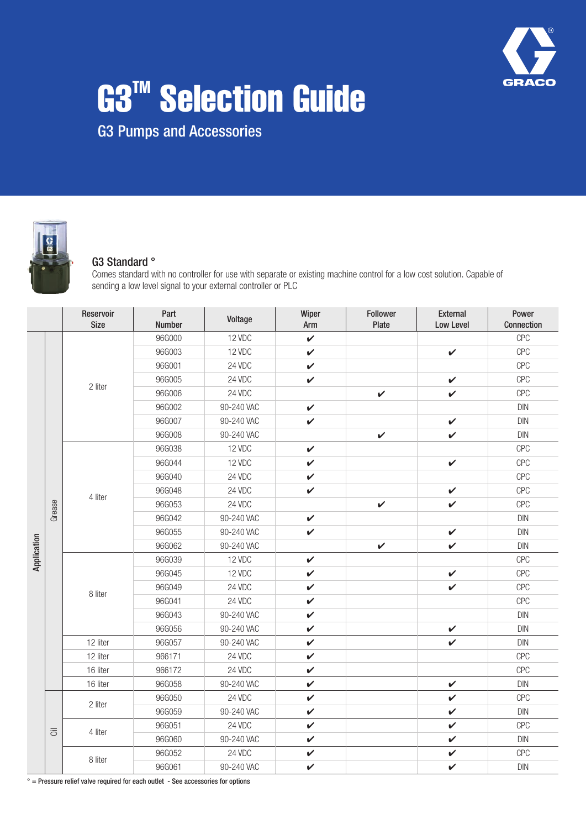

# G3<sup>™</sup> Selection Guide

G3 Pumps and Accessories



#### G3 Standard °

Comes standard with no controller for use with separate or existing machine control for a low cost solution. Capable of sending a low level signal to your external controller or PLC

|             |                | Reservoir<br><b>Size</b> | Part<br>Number | Voltage    | Wiper<br>Arm | Follower<br>Plate | External<br>Low Level | Power<br>Connection |
|-------------|----------------|--------------------------|----------------|------------|--------------|-------------------|-----------------------|---------------------|
|             |                |                          | 96G000         | 12 VDC     | $\checkmark$ |                   |                       | <b>CPC</b>          |
|             |                |                          | 96G003         | 12 VDC     | $\checkmark$ |                   | $\checkmark$          | <b>CPC</b>          |
|             |                |                          | 96G001         | 24 VDC     | $\checkmark$ |                   |                       | <b>CPC</b>          |
|             |                | 2 liter                  | 96G005         | 24 VDC     | $\checkmark$ |                   | $\checkmark$          | <b>CPC</b>          |
|             |                |                          | 96G006         | 24 VDC     |              | $\checkmark$      | $\checkmark$          | <b>CPC</b>          |
|             |                |                          | 96G002         | 90-240 VAC | $\checkmark$ |                   |                       | <b>DIN</b>          |
|             |                |                          | 96G007         | 90-240 VAC | $\checkmark$ |                   | $\checkmark$          | <b>DIN</b>          |
|             |                |                          | 96G008         | 90-240 VAC |              | $\checkmark$      | V                     | DIN                 |
|             |                |                          | 96G038         | 12 VDC     | $\checkmark$ |                   |                       | <b>CPC</b>          |
|             |                |                          | 96G044         | 12 VDC     | $\checkmark$ |                   | $\checkmark$          | <b>CPC</b>          |
|             |                |                          | 96G040         | 24 VDC     | $\checkmark$ |                   |                       | <b>CPC</b>          |
|             |                | 4 liter                  | 96G048         | 24 VDC     | $\checkmark$ |                   | $\checkmark$          | <b>CPC</b>          |
|             | Grease         |                          | 96G053         | 24 VDC     |              | $\checkmark$      | V                     | <b>CPC</b>          |
|             |                |                          | 96G042         | 90-240 VAC | $\checkmark$ |                   |                       | DIN                 |
|             |                |                          | 96G055         | 90-240 VAC | $\checkmark$ |                   | $\checkmark$          | <b>DIN</b>          |
|             |                |                          | 96G062         | 90-240 VAC |              | $\checkmark$      | $\checkmark$          | <b>DIN</b>          |
| Application |                | 8 liter                  | 96G039         | 12 VDC     | $\checkmark$ |                   |                       | <b>CPC</b>          |
|             |                |                          | 96G045         | 12 VDC     | $\checkmark$ |                   | V                     | <b>CPC</b>          |
|             |                |                          | 96G049         | 24 VDC     | $\checkmark$ |                   | V                     | <b>CPC</b>          |
|             |                |                          | 96G041         | 24 VDC     | $\checkmark$ |                   |                       | <b>CPC</b>          |
|             |                |                          | 96G043         | 90-240 VAC | $\checkmark$ |                   |                       | <b>DIN</b>          |
|             |                |                          | 96G056         | 90-240 VAC | $\checkmark$ |                   | $\checkmark$          | <b>DIN</b>          |
|             |                | 12 liter                 | 96G057         | 90-240 VAC | $\checkmark$ |                   | $\checkmark$          | <b>DIN</b>          |
|             |                | 12 liter                 | 966171         | 24 VDC     | V            |                   |                       | <b>CPC</b>          |
|             |                | 16 liter                 | 966172         | 24 VDC     | V            |                   |                       | <b>CPC</b>          |
|             |                | 16 liter                 | 96G058         | 90-240 VAC | $\checkmark$ |                   | $\checkmark$          | <b>DIN</b>          |
|             |                | 2 liter                  | 96G050         | 24 VDC     | $\checkmark$ |                   | $\checkmark$          | <b>CPC</b>          |
|             |                |                          | 96G059         | 90-240 VAC | $\checkmark$ |                   | $\checkmark$          | <b>DIN</b>          |
|             | $\overline{5}$ | 4 liter                  | 96G051         | 24 VDC     | $\checkmark$ |                   | $\checkmark$          | CPC                 |
|             |                |                          | 96G060         | 90-240 VAC | $\checkmark$ |                   | $\checkmark$          | DIN                 |
|             |                | 8 liter                  | 96G052         | 24 VDC     | $\checkmark$ |                   | $\checkmark$          | <b>CPC</b>          |
|             |                |                          | 96G061         | 90-240 VAC | $\checkmark$ |                   | $\checkmark$          | <b>DIN</b>          |

° = Pressure relief valve required for each outlet - See accessories for options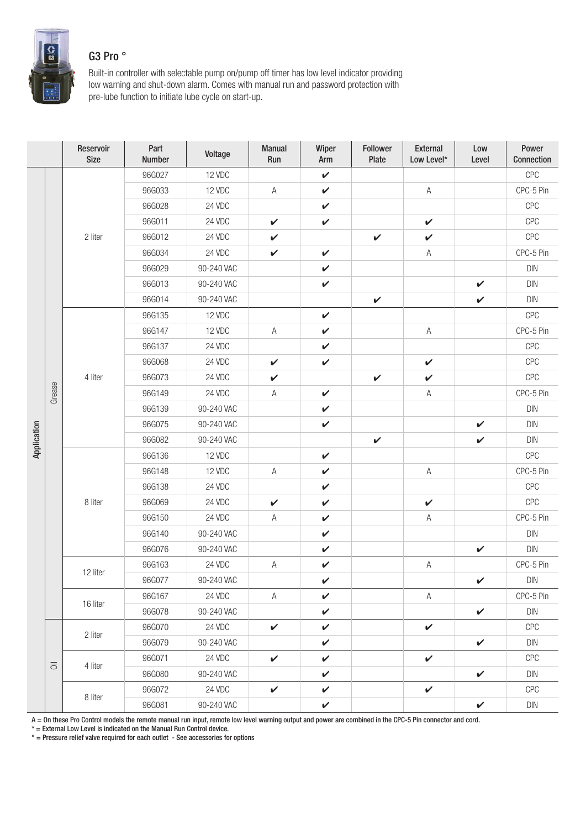

## G3 Pro °

Built-in controller with selectable pump on/pump off timer has low level indicator providing low warning and shut-down alarm. Comes with manual run and password protection with pre-lube function to initiate lube cycle on start-up.

|             |                               | Reservoir<br><b>Size</b> | Part<br>Number | Voltage    | Manual<br>Run | Wiper<br>Arm | Follower<br>Plate | External<br>Low Level* | Low<br>Level | Power<br>Connection              |
|-------------|-------------------------------|--------------------------|----------------|------------|---------------|--------------|-------------------|------------------------|--------------|----------------------------------|
|             |                               |                          | 96G027         | 12 VDC     |               | $\checkmark$ |                   |                        |              | CPC                              |
|             |                               |                          | 96G033         | 12 VDC     | $\mathsf A$   | $\checkmark$ |                   | $\mathsf A$            |              | CPC-5 Pin                        |
|             |                               |                          | 96G028         | 24 VDC     |               | $\checkmark$ |                   |                        |              | CPC                              |
|             |                               |                          | 96G011         | 24 VDC     | $\checkmark$  | $\checkmark$ |                   | $\checkmark$           |              | CPC                              |
|             |                               | 2 liter                  | 96G012         | 24 VDC     | $\checkmark$  |              | $\checkmark$      | $\checkmark$           |              | CPC                              |
|             |                               |                          | 96G034         | 24 VDC     | $\checkmark$  | $\checkmark$ |                   | $\mathsf A$            |              | CPC-5 Pin                        |
|             |                               |                          | 96G029         | 90-240 VAC |               | $\checkmark$ |                   |                        |              | $\textsf{D}\textsf{IN}$          |
|             |                               |                          | 96G013         | 90-240 VAC |               | $\checkmark$ |                   |                        | $\checkmark$ | DIN                              |
|             |                               |                          | 96G014         | 90-240 VAC |               |              | $\checkmark$      |                        | $\checkmark$ | DIN                              |
|             |                               |                          | 96G135         | 12 VDC     |               | $\checkmark$ |                   |                        |              | CPC                              |
|             |                               |                          | 96G147         | 12 VDC     | $\mathsf A$   | $\checkmark$ |                   | Α                      |              | CPC-5 Pin                        |
|             |                               | 4 liter                  | 96G137         | 24 VDC     |               | $\checkmark$ |                   |                        |              | CPC                              |
|             |                               |                          | 96G068         | 24 VDC     | $\checkmark$  | $\checkmark$ |                   | $\checkmark$           |              | <b>CPC</b>                       |
|             |                               |                          | 96G073         | 24 VDC     | $\checkmark$  |              | $\checkmark$      | $\checkmark$           |              | CPC                              |
|             | Grease                        |                          | 96G149         | 24 VDC     | A             | $\checkmark$ |                   | $\mathsf A$            |              | CPC-5 Pin                        |
|             |                               |                          | 96G139         | 90-240 VAC |               | $\checkmark$ |                   |                        |              | $\textsf{D}\textsf{IN}$          |
|             |                               |                          | 96G075         | 90-240 VAC |               | $\checkmark$ |                   |                        | V            | DIN                              |
| Application |                               |                          | 96G082         | 90-240 VAC |               |              | $\checkmark$      |                        | $\checkmark$ | $\textsf{D}\textsf{IN}$          |
|             |                               |                          | 96G136         | 12 VDC     |               | $\checkmark$ |                   |                        |              | CPC                              |
|             |                               |                          | 96G148         | 12 VDC     | Α             | $\checkmark$ |                   | Α                      |              | CPC-5 Pin                        |
|             |                               |                          | 96G138         | 24 VDC     |               | $\checkmark$ |                   |                        |              | CPC                              |
|             |                               | 8 liter                  | 96G069         | 24 VDC     | $\checkmark$  | $\checkmark$ |                   | $\checkmark$           |              | CPC                              |
|             |                               |                          | 96G150         | 24 VDC     | Α             | $\checkmark$ |                   | $\mathsf A$            |              | CPC-5 Pin                        |
|             |                               |                          | 96G140         | 90-240 VAC |               | $\checkmark$ |                   |                        |              | DIN                              |
|             |                               |                          | 96G076         | 90-240 VAC |               | $\checkmark$ |                   |                        | $\checkmark$ | $\mathsf{D}\mathsf{I}\mathsf{N}$ |
|             |                               | 12 liter                 | 96G163         | 24 VDC     | $\mathsf A$   | $\checkmark$ |                   | $\mathsf A$            |              | CPC-5 Pin                        |
|             |                               |                          | 96G077         | 90-240 VAC |               | $\checkmark$ |                   |                        | $\checkmark$ | $\mathsf{D}\mathsf{I}\mathsf{N}$ |
|             |                               | 16 liter                 | 96G167         | 24 VDC     | A             | $\checkmark$ |                   | Α                      |              | CPC-5 Pin                        |
|             |                               |                          | 96G078         | 90-240 VAC |               | $\checkmark$ |                   |                        | $\checkmark$ | DIN                              |
|             |                               | 2 liter                  | 96G070         | 24 VDC     | $\checkmark$  | $\checkmark$ |                   | $\checkmark$           |              | CPC                              |
|             |                               |                          | 96G079         | 90-240 VAC |               | $\checkmark$ |                   |                        | $\checkmark$ | DIN                              |
|             | $\overline{\overline{\circ}}$ | 4 liter                  | 96G071         | 24 VDC     | $\checkmark$  | $\checkmark$ |                   | $\checkmark$           |              | CPC                              |
|             |                               |                          | 96G080         | 90-240 VAC |               | $\checkmark$ |                   |                        | $\checkmark$ | DIN                              |
|             |                               |                          | 96G072         | 24 VDC     | $\checkmark$  | $\checkmark$ |                   | $\checkmark$           |              | CPC                              |
|             |                               | 8 liter                  | 96G081         | 90-240 VAC |               | $\checkmark$ |                   |                        | $\checkmark$ | DIN                              |

A = On these Pro Control models the remote manual run input, remote low level warning output and power are combined in the CPC-5 Pin connector and cord.

 $*$  = External Low Level is indicated on the Manual Run Control device.

° = Pressure relief valve required for each outlet - See accessories for options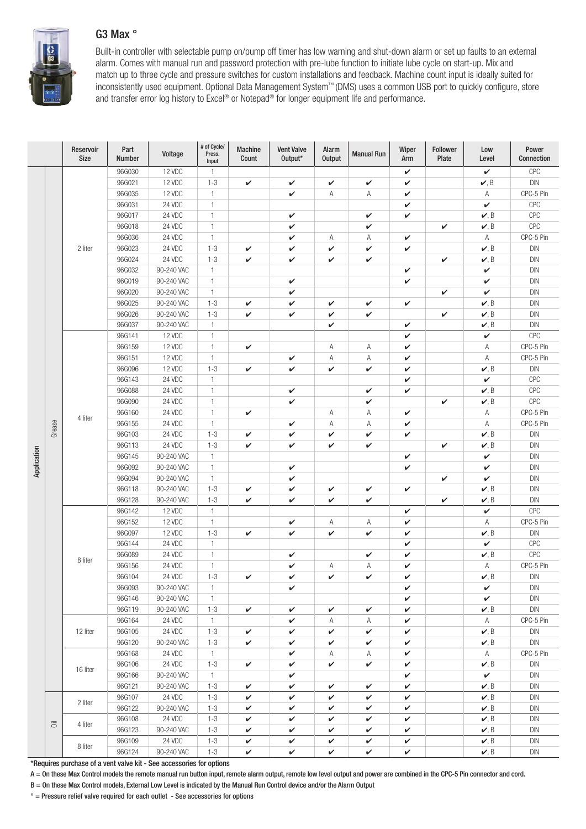## G3 Max °



Built-in controller with selectable pump on/pump off timer has low warning and shut-down alarm or set up faults to an external alarm. Comes with manual run and password protection with pre-lube function to initiate lube cycle on start-up. Mix and match up to three cycle and pressure switches for custom installations and feedback. Machine count input is ideally suited for inconsistently used equipment. Optional Data Management System™ (DMS) uses a common USB port to quickly configure, store and transfer error log history to Excel® or Notepad® for longer equipment life and performance.

|             |            | Reservoir<br>Size | Part<br>Number | Voltage    | # of Cycle/<br>Press.<br>Input | <b>Machine</b><br>Count | <b>Vent Valve</b><br>Output* | Alarm<br><b>Output</b> | <b>Manual Run</b> | Wiper<br>Arm | <b>Follower</b><br>Plate | Low<br>Level           | Power<br>Connection     |
|-------------|------------|-------------------|----------------|------------|--------------------------------|-------------------------|------------------------------|------------------------|-------------------|--------------|--------------------------|------------------------|-------------------------|
|             |            |                   | 96G030         | 12 VDC     | $\mathbf{1}$                   |                         |                              |                        |                   | V            |                          | $\checkmark$           | CPC                     |
|             |            |                   | 96G021         | 12 VDC     | $1 - 3$                        | V                       | V                            | V                      | V                 | V            |                          | $\nu$ , B              | <b>DIN</b>              |
|             |            |                   | 96G035         | 12 VDC     | $\mathbf{1}$                   |                         | V                            | Α                      | Α                 | V            |                          | Α                      | CPC-5 Pin               |
|             |            |                   | 96G031         | 24 VDC     | $\mathbf{1}$                   |                         |                              |                        |                   | V            |                          | $\checkmark$           | CPC                     |
|             |            |                   | 96G017         | 24 VDC     | $\mathbf{1}$                   |                         | V                            |                        | V                 | V            |                          | $\nu, B$               | CPC                     |
|             |            |                   | 96G018         | 24 VDC     | $\mathbf{1}$                   |                         | V                            |                        | V                 |              | V                        | $\nu, B$               | CPC                     |
|             |            |                   | 96G036         | 24 VDC     | $\mathbf{1}$                   |                         | V                            | Α                      | Α                 | V            |                          | Α                      | CPC-5 Pin               |
|             |            | 2 liter           | 96G023         | 24 VDC     | $1 - 3$                        | V                       | V                            | V                      | V                 | $\checkmark$ |                          | $\nu, B$               | DIN                     |
|             |            |                   | 96G024         | 24 VDC     | $1 - 3$                        | V                       | V                            | V                      | V                 |              | V                        | $\nu, B$               | <b>DIN</b>              |
|             |            |                   | 96G032         | 90-240 VAC | $\mathbf{1}$                   |                         |                              |                        |                   | V            |                          | $\checkmark$           | <b>DIN</b>              |
|             |            |                   | 96G019         | 90-240 VAC | $\mathbf{1}$                   |                         | V                            |                        |                   | V            |                          | $\checkmark$           | <b>DIN</b>              |
|             |            |                   | 96G020         | 90-240 VAC | $\mathbf{1}$                   |                         | V                            |                        |                   |              | V                        | $\checkmark$           | <b>DIN</b>              |
|             |            |                   | 96G025         | 90-240 VAC | $1 - 3$                        | V                       | V                            | V                      | V                 | V            |                          | $\nu, B$               | <b>DIN</b>              |
|             |            |                   | 96G026         | 90-240 VAC | $1 - 3$                        | $\checkmark$            | V                            | V                      | V                 |              | $\checkmark$             | $\nu, B$               | <b>DIN</b>              |
|             |            |                   | 96G037         | 90-240 VAC | $\mathbf{1}$                   |                         |                              | V                      |                   | V            |                          | $\nu, B$               | <b>DIN</b>              |
|             |            |                   | 96G141         | 12 VDC     | $\mathbf{1}$                   |                         |                              |                        |                   | V            |                          | $\checkmark$           | CPC                     |
|             |            |                   | 96G159         | 12 VDC     | $\mathbf{1}$                   | V                       |                              | Α                      | Α                 | V            |                          | Α                      | CPC-5 Pin               |
|             |            |                   | 96G151         | 12 VDC     | $\mathbf{1}$                   |                         | V                            | Α                      | Α                 | V            |                          | Α                      | CPC-5 Pin               |
|             |            |                   | 96G096         | 12 VDC     | $1 - 3$                        | V                       | $\checkmark$                 | V                      | V                 | V            |                          | $\nu, B$               | $\mathsf{D}\mathsf{IN}$ |
|             |            | 4 liter           | 96G143         | 24 VDC     | $\mathbf{1}$                   |                         |                              |                        |                   | V            |                          | $\checkmark$           | CPC                     |
|             |            |                   | 96G088         | 24 VDC     | $\mathbf{1}$                   |                         | $\checkmark$                 |                        | V                 | $\checkmark$ |                          | $\nu, B$               | CPC                     |
|             |            |                   | 96G090         | 24 VDC     | $\mathbf{1}$                   |                         | V                            |                        | V                 |              | V                        | $\nu, B$               | CPC                     |
|             |            |                   | 96G160         | 24 VDC     | $\mathbf{1}$                   | V                       |                              | Α                      | Α                 | V            |                          | Α                      | CPC-5 Pin               |
|             | Grease     |                   | 96G155         | 24 VDC     | $\mathbf{1}$                   |                         | V                            | Α                      | Α                 | V            |                          | Α                      | CPC-5 Pin               |
|             |            |                   | 96G103         | 24 VDC     | $1 - 3$                        | V                       | V                            | V                      | V                 | $\checkmark$ |                          | $\nu, B$               | <b>DIN</b>              |
|             |            |                   | 96G113         | 24 VDC     | $1 - 3$                        | $\checkmark$            | V                            | V                      | V                 |              | V                        | $\nu, B$               | <b>DIN</b>              |
| Application |            |                   | 96G145         | 90-240 VAC | $\mathbf{1}$                   |                         |                              |                        |                   | V            |                          | $\checkmark$           | <b>DIN</b>              |
|             |            |                   | 96G092         | 90-240 VAC | $\mathbf{1}$                   |                         | V                            |                        |                   | $\checkmark$ |                          | $\checkmark$           | <b>DIN</b>              |
|             |            |                   | 96G094         | 90-240 VAC | $\mathbf{1}$                   |                         | $\checkmark$                 |                        |                   |              | V                        | V                      | <b>DIN</b>              |
|             |            |                   | 96G118         | 90-240 VAC | $1 - 3$                        | V                       | V                            | V                      | V                 | V            |                          | $\nu, B$               | <b>DIN</b>              |
|             |            |                   | 96G128         | 90-240 VAC | $1 - 3$                        | V                       | V                            | V                      | V                 |              | V                        | $\nu, B$               | <b>DIN</b>              |
|             |            | 8 liter           | 96G142         | 12 VDC     | $\mathbf{1}$                   |                         |                              |                        |                   | V            |                          | $\checkmark$           | CPC                     |
|             |            |                   | 96G152         | 12 VDC     | $\mathbf{1}$                   |                         | V                            | Α                      | Α                 | V            |                          | Α                      | CPC-5 Pin               |
|             |            |                   | 96G097         | 12 VDC     | $1 - 3$                        | $\checkmark$            | V                            | V                      | V                 | V            |                          | $\nu, B$               | DIN                     |
|             |            |                   | 96G144         | 24 VDC     | $\mathbf{1}$                   |                         |                              |                        |                   | V            |                          | $\checkmark$           | CPC                     |
|             |            |                   | 96G089         | 24 VDC     | $\mathbf{1}$                   |                         | V                            |                        | V                 | V            |                          | $\boldsymbol{\nu}$ , B | CPC                     |
|             |            |                   | 96G156         | 24 VDC     | $\mathbf{1}$                   |                         | V                            | Α                      | Α                 | V            |                          | Α                      | CPC-5 Pin               |
|             |            |                   | 96G104         | 24 VDC     | $1 - 3$                        | V                       | V                            | V                      | V                 | $\mathbf v$  |                          | $\nu$ , B              | <b>DIN</b>              |
|             |            |                   | 96G093         | 90-240 VAC | $\mathbf{1}$                   |                         | ✓                            |                        |                   | V            |                          | $\checkmark$           | DIN                     |
|             |            |                   | 96G146         | 90-240 VAC | $\mathbf{1}$                   |                         |                              |                        |                   | V            |                          | $\checkmark$           | DIN                     |
|             |            |                   | 96G119         | 90-240 VAC | $1 - 3$                        | V                       | V                            | V                      | V                 | V            |                          | $\nu, B$               | <b>DIN</b>              |
|             |            |                   | 96G164         | 24 VDC     | $\mathbf{1}$                   |                         | V                            | Α                      | Α                 | V            |                          | A                      | CPC-5 Pin               |
|             |            | 12 liter          | 96G105         | 24 VDC     | $1 - 3$                        | V                       | V                            | V                      | V                 | V            |                          | $\nu, B$               | $\textsf{D}\textsf{IN}$ |
|             |            |                   | 96G120         | 90-240 VAC | $1 - 3$                        | V                       | V                            | V                      | V                 | V            |                          | $\nu, B$               | $\textsf{D}\textsf{IN}$ |
|             |            |                   | 96G168         | 24 VDC     | $\mathbf{1}$                   |                         | V                            | Α                      | Α                 | V            |                          | Α                      | CPC-5 Pin               |
|             |            | 16 liter          | 96G106         | 24 VDC     | $1 - 3$                        | V                       | V                            | V                      | V                 | V            |                          | $\mathcal{V}, B$       | $\textsf{D}\textsf{IN}$ |
|             |            |                   | 96G166         | 90-240 VAC | $\mathbf{1}$                   |                         | V                            |                        |                   | V            |                          | $\checkmark$           | DIN                     |
|             |            |                   | 96G121         | 90-240 VAC | $1 - 3$                        | V                       | $\checkmark$                 | V                      | V                 | V            |                          | $\nu, B$               | DIN                     |
|             |            |                   | 96G107         | 24 VDC     | $1 - 3$                        | V                       | V                            | V                      | V                 | V            |                          | $\nu, B$               | $\textsf{D}\textsf{IN}$ |
|             |            | 2 liter           | 96G122         | 90-240 VAC | $1 - 3$                        | V                       | V                            | V                      | V                 | V            |                          | $\nu, B$               | DIN                     |
|             |            |                   | 96G108         | 24 VDC     | $1 - 3$                        | V                       | V                            | V                      | V                 | V            |                          | $\nu, B$               | DIN                     |
|             | こうしょう こうしゃ | 4 liter           | 96G123         | 90-240 VAC | $1 - 3$                        | V                       | V                            | V                      | V                 | V            |                          | $\nu, B$               | $\textsf{D}\textsf{IN}$ |
|             |            | 8 liter           | 96G109         | 24 VDC     | $1 - 3$                        | V                       | V                            | V                      | V                 | V            |                          | $\nu, B$               | $\textsf{D}\textsf{IN}$ |
|             |            |                   | 96G124         | 90-240 VAC | $1 - 3$                        | V                       | V                            | V                      | V                 | V            |                          | $\nu, B$               | $\textsf{D}\textsf{IN}$ |

\*Requires purchase of a vent valve kit - See accessories for options

A = On these Max Control models the remote manual run button input, remote alarm output, remote low level output and power are combined in the CPC-5 Pin connector and cord.

B = On these Max Control models, External Low Level is indicated by the Manual Run Control device and/or the Alarm Output

° = Pressure relief valve required for each outlet - See accessories for options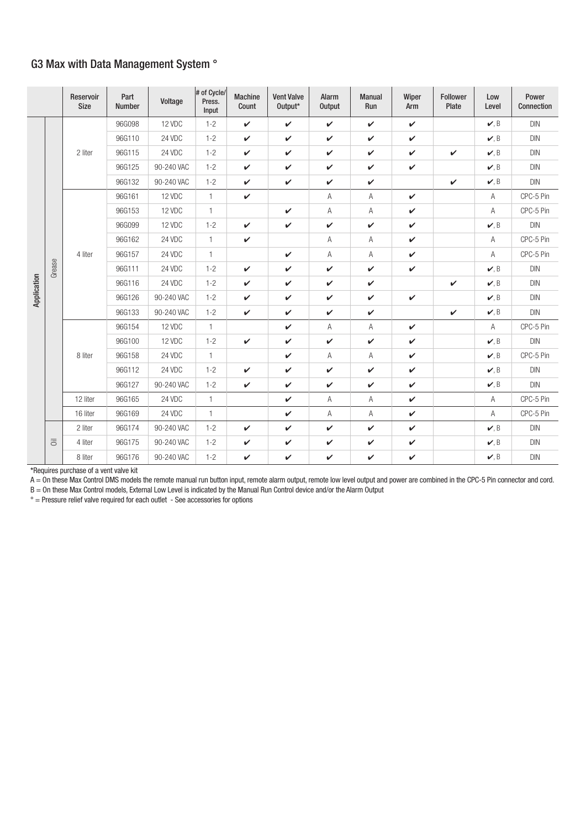## G3 Max with Data Management System °

|             |                           | Reservoir<br><b>Size</b> | Part<br>Number | Voltage    | # of Cycle/<br>Press.<br>Input | <b>Machine</b><br>Count | <b>Vent Valve</b><br>Output* | Alarm<br><b>Output</b> | <b>Manual</b><br>Run | Wiper<br>Arm | Follower<br>Plate | Low<br>Level | Power<br>Connection |
|-------------|---------------------------|--------------------------|----------------|------------|--------------------------------|-------------------------|------------------------------|------------------------|----------------------|--------------|-------------------|--------------|---------------------|
|             |                           |                          | 96G098         | 12 VDC     | $1 - 2$                        | $\checkmark$            | $\checkmark$                 | $\checkmark$           | $\checkmark$         | $\checkmark$ |                   | $\nu, B$     | DIN                 |
|             |                           |                          | 96G110         | 24 VDC     | $1 - 2$                        | $\checkmark$            | $\checkmark$                 | $\checkmark$           | $\checkmark$         | $\checkmark$ |                   | v, B         | <b>DIN</b>          |
|             |                           | 2 liter                  | 96G115         | 24 VDC     | $1 - 2$                        | $\checkmark$            | ✓                            | $\checkmark$           | $\checkmark$         | $\checkmark$ | $\checkmark$      | $\nu, B$     | <b>DIN</b>          |
|             |                           |                          | 96G125         | 90-240 VAC | $1 - 2$                        | $\checkmark$            | $\checkmark$                 | V                      | $\checkmark$         | $\checkmark$ |                   | $\nu, B$     | DIN                 |
|             |                           |                          | 96G132         | 90-240 VAC | $1 - 2$                        | $\checkmark$            | $\checkmark$                 | $\checkmark$           | $\checkmark$         |              | $\checkmark$      | $\nu, B$     | <b>DIN</b>          |
|             |                           |                          | 96G161         | 12 VDC     | $\overline{1}$                 | $\checkmark$            |                              | A                      | Α                    | $\checkmark$ |                   | Α            | CPC-5 Pin           |
|             |                           |                          | 96G153         | 12 VDC     | $\mathbf{1}$                   |                         | $\checkmark$                 | А                      | Α                    | $\checkmark$ |                   | Α            | CPC-5 Pin           |
|             |                           |                          | 96G099         | 12 VDC     | $1 - 2$                        | $\checkmark$            | $\checkmark$                 | $\checkmark$           | $\checkmark$         | $\checkmark$ |                   | $\nu, B$     | DIN                 |
|             |                           | 4 liter                  | 96G162         | 24 VDC     | $\mathbf{1}$                   | $\checkmark$            |                              | А                      | Α                    | $\checkmark$ |                   | Α            | CPC-5 Pin           |
|             |                           |                          | 96G157         | 24 VDC     | $\mathbf{1}$                   |                         | V                            | $\overline{A}$         | Α                    | $\checkmark$ |                   | A            | CPC-5 Pin           |
|             | Grease                    |                          | 96G111         | 24 VDC     | $1 - 2$                        | $\checkmark$            | $\checkmark$                 | $\checkmark$           | $\checkmark$         | $\checkmark$ |                   | $\nu, B$     | DIN                 |
| Application |                           |                          | 96G116         | 24 VDC     | $1 - 2$                        | $\checkmark$            | $\checkmark$                 | $\checkmark$           | $\checkmark$         |              | $\checkmark$      | $\nu, B$     | <b>DIN</b>          |
|             |                           |                          | 96G126         | 90-240 VAC | $1 - 2$                        | $\checkmark$            | V                            | $\checkmark$           | $\checkmark$         | $\checkmark$ |                   | $\nu, B$     | <b>DIN</b>          |
|             |                           |                          | 96G133         | 90-240 VAC | $1 - 2$                        | $\checkmark$            | $\checkmark$                 | $\checkmark$           | $\checkmark$         |              | $\checkmark$      | $\nu, B$     | DIN                 |
|             |                           | 8 liter                  | 96G154         | 12 VDC     | $\mathbf{1}$                   |                         | $\checkmark$                 | Α                      | A                    | $\checkmark$ |                   | A            | CPC-5 Pin           |
|             |                           |                          | 96G100         | 12 VDC     | $1 - 2$                        | $\checkmark$            | $\checkmark$                 | $\checkmark$           | $\checkmark$         | $\checkmark$ |                   | v, B         | DIN                 |
|             |                           |                          | 96G158         | 24 VDC     | $\mathbf{1}$                   |                         | $\checkmark$                 | Α                      | Α                    | $\checkmark$ |                   | $\nu$ , B    | CPC-5 Pin           |
|             |                           |                          | 96G112         | 24 VDC     | $1 - 2$                        | $\checkmark$            | $\checkmark$                 | $\checkmark$           | $\checkmark$         | $\checkmark$ |                   | $\nu, B$     | DIN                 |
|             |                           |                          | 96G127         | 90-240 VAC | $1 - 2$                        | $\checkmark$            | $\checkmark$                 | $\checkmark$           | $\checkmark$         | $\checkmark$ |                   | v, B         | DIN                 |
|             |                           | 12 liter                 | 96G165         | 24 VDC     | $\overline{1}$                 |                         | $\checkmark$                 | A                      | Α                    | $\checkmark$ |                   | A            | CPC-5 Pin           |
|             |                           | 16 liter                 | 96G169         | 24 VDC     | $\mathbf{1}$                   |                         | $\checkmark$                 | Α                      | Α                    | $\checkmark$ |                   | Α            | CPC-5 Pin           |
|             |                           | 2 liter                  | 96G174         | 90-240 VAC | $1 - 2$                        | $\checkmark$            | $\checkmark$                 | $\checkmark$           | $\checkmark$         | $\checkmark$ |                   | $\nu, B$     | <b>DIN</b>          |
|             | $\overline{\overline{c}}$ | 4 liter                  | 96G175         | 90-240 VAC | $1 - 2$                        | $\checkmark$            | $\checkmark$                 | V                      | $\checkmark$         | $\checkmark$ |                   | $\nu, B$     | <b>DIN</b>          |
|             |                           | 8 liter                  | 96G176         | 90-240 VAC | $1 - 2$                        | $\checkmark$            | $\checkmark$                 | $\checkmark$           | $\checkmark$         | $\checkmark$ |                   | $\nu, B$     | DIN                 |

\*Requires purchase of a vent valve kit

A = On these Max Control DMS models the remote manual run button input, remote alarm output, remote low level output and power are combined in the CPC-5 Pin connector and cord.

B = On these Max Control models, External Low Level is indicated by the Manual Run Control device and/or the Alarm Output

 $\degree$  = Pressure relief valve required for each outlet - See accessories for options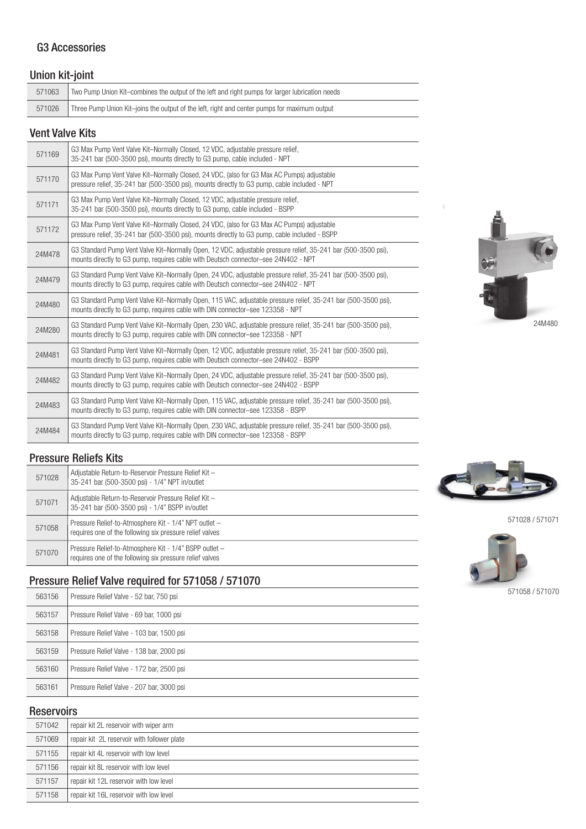## G3 Accessories

## Union kit-joint

| 571063                 | Two Pump Union Kit–combines the output of the left and right pumps for larger lubrication needs |  |  |  |  |
|------------------------|-------------------------------------------------------------------------------------------------|--|--|--|--|
| 571026                 | Three Pump Union Kit–joins the output of the left, right and center pumps for maximum output    |  |  |  |  |
| <b>Vent Valve Kits</b> |                                                                                                 |  |  |  |  |

| 571169 | G3 Max Pump Vent Valve Kit-Normally Closed, 12 VDC, adjustable pressure relief,<br>35-241 bar (500-3500 psi), mounts directly to G3 pump, cable included - NPT                                       |
|--------|------------------------------------------------------------------------------------------------------------------------------------------------------------------------------------------------------|
| 571170 | G3 Max Pump Vent Valve Kit-Normally Closed, 24 VDC, (also for G3 Max AC Pumps) adjustable<br>pressure relief, 35-241 bar (500-3500 psi), mounts directly to G3 pump, cable included - NPT            |
| 571171 | G3 Max Pump Vent Valve Kit-Normally Closed, 12 VDC, adjustable pressure relief,<br>35-241 bar (500-3500 psi), mounts directly to G3 pump, cable included - BSPP                                      |
| 571172 | G3 Max Pump Vent Valve Kit-Normally Closed, 24 VDC, (also for G3 Max AC Pumps) adjustable<br>pressure relief, 35-241 bar (500-3500 psi), mounts directly to G3 pump, cable included - BSPP           |
| 24M478 | G3 Standard Pump Vent Valve Kit-Normally Open, 12 VDC, adjustable pressure relief, 35-241 bar (500-3500 psi),<br>mounts directly to G3 pump, requires cable with Deutsch connector-see 24N402 - NPT  |
| 24M479 | G3 Standard Pump Vent Valve Kit-Normally Open, 24 VDC, adjustable pressure relief, 35-241 bar (500-3500 psi),<br>mounts directly to G3 pump, requires cable with Deutsch connector-see 24N402 - NPT  |
| 24M480 | G3 Standard Pump Vent Valve Kit-Normally Open, 115 VAC, adjustable pressure relief, 35-241 bar (500-3500 psi),<br>mounts directly to G3 pump, requires cable with DIN connector-see 123358 - NPT     |
| 24M280 | G3 Standard Pump Vent Valve Kit-Normally Open, 230 VAC, adjustable pressure relief, 35-241 bar (500-3500 psi),<br>mounts directly to G3 pump, requires cable with DIN connector-see 123358 - NPT     |
| 24M481 | G3 Standard Pump Vent Valve Kit-Normally Open, 12 VDC, adjustable pressure relief, 35-241 bar (500-3500 psi),<br>mounts directly to G3 pump, requires cable with Deutsch connector-see 24N402 - BSPP |
| 24M482 | G3 Standard Pump Vent Valve Kit-Normally Open, 24 VDC, adjustable pressure relief, 35-241 bar (500-3500 psi),<br>mounts directly to G3 pump, requires cable with Deutsch connector-see 24N402 - BSPP |
| 24M483 | G3 Standard Pump Vent Valve Kit-Normally Open, 115 VAC, adjustable pressure relief, 35-241 bar (500-3500 psi),<br>mounts directly to G3 pump, requires cable with DIN connector-see 123358 - BSPP    |
| 24M484 | G3 Standard Pump Vent Valve Kit-Normally Open, 230 VAC, adjustable pressure relief, 35-241 bar (500-3500 psi),<br>mounts directly to G3 pump, requires cable with DIN connector-see 123358 - BSPP    |

### Pressure Reliefs Kits

| 571028 | Adjustable Return-to-Reservoir Pressure Relief Kit -<br>35-241 bar (500-3500 psi) - 1/4" NPT in/outlet             |
|--------|--------------------------------------------------------------------------------------------------------------------|
| 571071 | Adjustable Return-to-Reservoir Pressure Relief Kit -<br>35-241 bar (500-3500 psi) - 1/4" BSPP in/outlet            |
| 571058 | Pressure Relief-to-Atmosphere Kit - 1/4" NPT outlet -<br>requires one of the following six pressure relief valves  |
| 571070 | Pressure Relief-to-Atmosphere Kit - 1/4" BSPP outlet -<br>requires one of the following six pressure relief valves |

# Pressure Relief Valve required for 571058 / 571070

| 563156 | Pressure Relief Valve - 52 bar, 750 psi   |
|--------|-------------------------------------------|
| 563157 | Pressure Relief Valve - 69 bar, 1000 psi  |
| 563158 | Pressure Relief Valve - 103 bar, 1500 psi |
| 563159 | Pressure Relief Valve - 138 bar, 2000 psi |
| 563160 | Pressure Relief Valve - 172 bar, 2500 psi |
| 563161 | Pressure Relief Valve - 207 bar, 3000 psi |

## Reservoirs

| 571042 | repair kit 2L reservoir with wiper arm      |
|--------|---------------------------------------------|
| 571069 | repair kit 2L reservoir with follower plate |
| 571155 | repair kit 4L reservoir with low level      |
| 571156 | repair kit 8L reservoir with low level      |
| 571157 | repair kit 12L reservoir with low level     |
| 571158 | repair kit 16L reservoir with low level     |





571028 / 571071



571058 / 571070